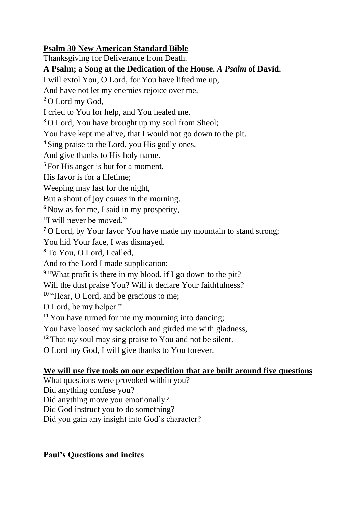## **Psalm 30 New American Standard Bible**

Thanksgiving for Deliverance from Death.

**A Psalm; a Song at the Dedication of the House.** *A Psalm* **of David.**

I will extol You, O Lord, for You have lifted me up,

And have not let my enemies rejoice over me.

**<sup>2</sup>** O Lord my God,

I cried to You for help, and You healed me.

**<sup>3</sup>** O Lord, You have brought up my soul from Sheol;

You have kept me alive, that I would not go down to the pit.

**<sup>4</sup>** Sing praise to the Lord, you His godly ones,

And give thanks to His holy name.

**<sup>5</sup>** For His anger is but for a moment,

His favor is for a lifetime;

Weeping may last for the night,

But a shout of joy *comes* in the morning.

**<sup>6</sup>** Now as for me, I said in my prosperity,

"I will never be moved."

**<sup>7</sup>** O Lord, by Your favor You have made my mountain to stand strong;

You hid Your face, I was dismayed.

**<sup>8</sup>** To You, O Lord, I called,

And to the Lord I made supplication:

<sup>9</sup> "What profit is there in my blood, if I go down to the pit?

Will the dust praise You? Will it declare Your faithfulness?

**<sup>10</sup>** "Hear, O Lord, and be gracious to me;

O Lord, be my helper."

**<sup>11</sup>** You have turned for me my mourning into dancing;

You have loosed my sackcloth and girded me with gladness,

**<sup>12</sup>** That *my* soul may sing praise to You and not be silent.

O Lord my God, I will give thanks to You forever.

## **We will use five tools on our expedition that are built around five questions**

What questions were provoked within you?

Did anything confuse you?

Did anything move you emotionally?

Did God instruct you to do something?

Did you gain any insight into God's character?

## **Paul's Questions and incites**